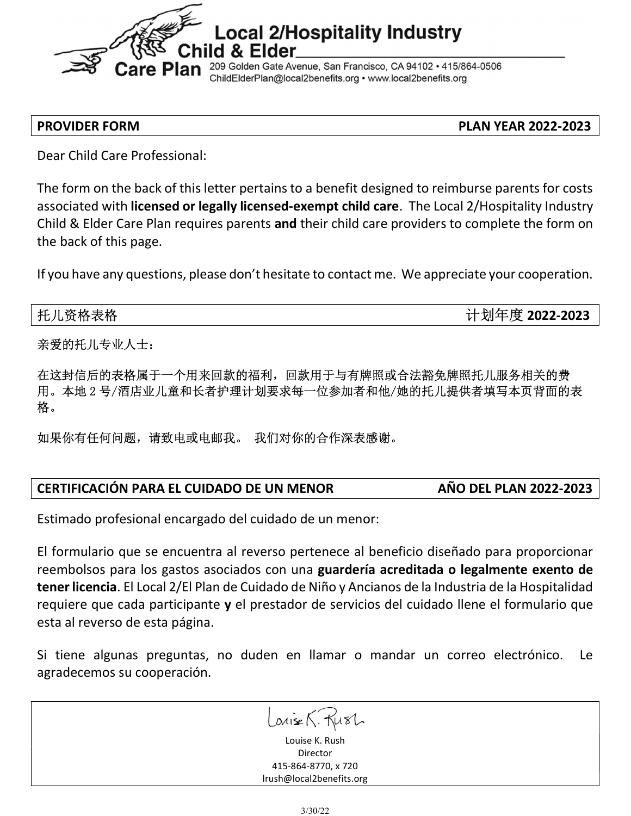

PROVIDER FORM PLAN YEAR 2022-2023

Dear Child Care Professional:

The form on the back of this letter pertains to a benefit designed to reimburse parents for costs associated with licensed or legally licensed-exempt child care. The Local 2/Hospitality Industry Child & Elder Care Plan requires parents and their child care providers to complete the form on the back of this page.

If you have any questions, please don't hesitate to contact me. We appreciate your cooperation.

托儿资格表格 2022-2023 第2022-2023 第2022-2023 第2022-2023 第2022-2023

亲爱的托儿专业人士:

在这封信后的表格属于一个用来回款的福利,回款用于与有牌照或合法豁免牌照托儿服务相关的费 用。本地 2 号/酒店业儿童和长者护理计划要求每一位参加者和他/她的托儿提供者填写本页背面的表 格。

如果你有任何问题,请致电或电邮我。 我们对你的合作深表感谢。

## CERTIFICACIÓN PARA EL CUIDADO DE UN MENOR AÑO DEL PLAN 2022-2023

Estimado profesional encargado del cuidado de un menor:

El formulario que se encuentra al reverso pertenece al beneficio diseñado para proporcionar reembolsos para los gastos asociados con una guardería acreditada o legalmente exento de tener licencia. El Local 2/El Plan de Cuidado de Niño y Ancianos de la Industria de la Hospitalidad requiere que cada participante y el prestador de servicios del cuidado llene el formulario que esta al reverso de esta página.

Si tiene algunas preguntas, no duden en llamar o mandar un correo electrónico. Le agradecemos su cooperación.

 $LavisA. KusL$ 

Louise K. Rush Director 415-864-8770, x 720 lrush@local2benefits.org